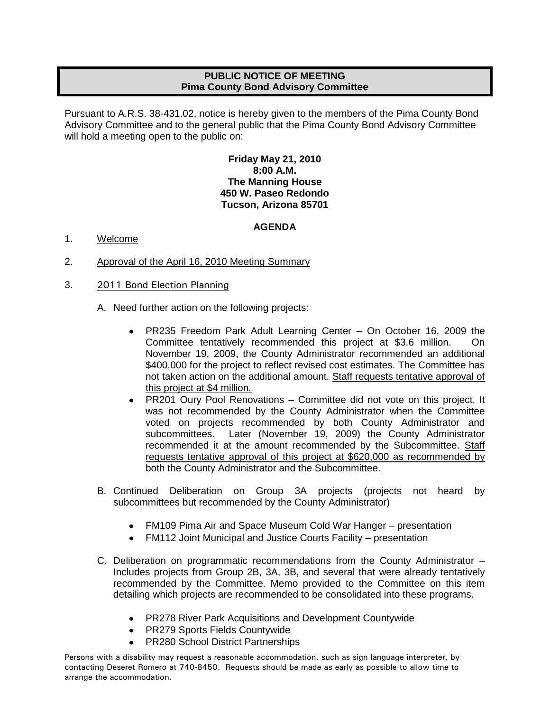## **PUBLIC NOTICE OF MEETING Pima County Bond Advisory Committee**

Pursuant to A.R.S. 38-431.02, notice is hereby given to the members of the Pima County Bond Advisory Committee and to the general public that the Pima County Bond Advisory Committee will hold a meeting open to the public on:

### **Friday May 21, 2010 8:00 A.M. The Manning House 450 W. Paseo Redondo Tucson, Arizona 85701**

### **AGENDA**

# 1. Welcome

- 2. Approval of the April 16, 2010 Meeting Summary
- 3. 2011 Bond Election Planning
	- A. Need further action on the following projects:
		- PR235 Freedom Park Adult Learning Center On October 16, 2009 the  $\bullet$ Committee tentatively recommended this project at \$3.6 million. On November 19, 2009, the County Administrator recommended an additional \$400,000 for the project to reflect revised cost estimates. The Committee has not taken action on the additional amount. Staff requests tentative approval of this project at \$4 million.
		- PR201 Oury Pool Renovations Committee did not vote on this project. It was not recommended by the County Administrator when the Committee voted on projects recommended by both County Administrator and subcommittees. Later (November 19, 2009) the County Administrator recommended it at the amount recommended by the Subcommittee. Staff requests tentative approval of this project at \$620,000 as recommended by both the County Administrator and the Subcommittee.
	- B. Continued Deliberation on Group 3A projects (projects not heard by subcommittees but recommended by the County Administrator)
		- FM109 Pima Air and Space Museum Cold War Hanger presentation
		- FM112 Joint Municipal and Justice Courts Facility presentation
	- C. Deliberation on programmatic recommendations from the County Administrator Includes projects from Group 2B, 3A, 3B, and several that were already tentatively recommended by the Committee. Memo provided to the Committee on this item detailing which projects are recommended to be consolidated into these programs.
		- PR278 River Park Acquisitions and Development Countywide
		- PR279 Sports Fields Countywide
		- PR280 School District Partnerships $\bullet$

Persons with a disability may request a reasonable accommodation, such as sign language interpreter, by contacting Deseret Romero at 740-8450. Requests should be made as early as possible to allow time to arrange the accommodation.